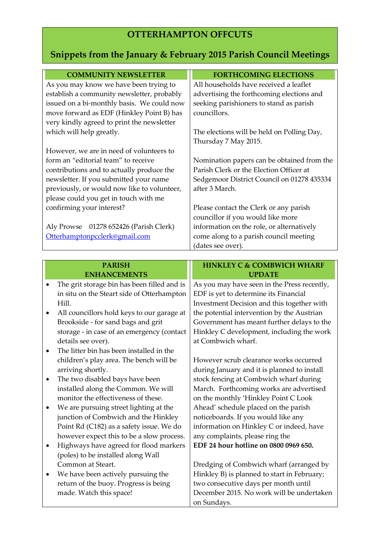# **OTTERHAMPTON OFFCUTS**

# **Snippets from the January & February 2015 Parish Council Meetings**

| <b>COMMUNITY NEWSLETTER</b>                 | <b>FORTHCOMING ELECTIONS</b>               |
|---------------------------------------------|--------------------------------------------|
| As you may know we have been trying to      | All households have received a leaflet     |
| establish a community newsletter, probably  | advertising the forthcoming elections and  |
| issued on a bi-monthly basis. We could now  | seeking parishioners to stand as parish    |
| move forward as EDF (Hinkley Point B) has   | councillors.                               |
| very kindly agreed to print the newsletter  |                                            |
| which will help greatly.                    | The elections will be held on Polling Day, |
|                                             | Thursday 7 May 2015.                       |
| However, we are in need of volunteers to    |                                            |
| form an "editorial team" to receive         | Nomination papers can be obtained from the |
| contributions and to actually produce the   | Parish Clerk or the Election Officer at    |
| newsletter. If you submitted your name      | Sedgemoor District Council on 01278 435334 |
| previously, or would now like to volunteer, | after 3 March.                             |
| please could you get in touch with me       |                                            |
| confirming your interest?                   | Please contact the Clerk or any parish     |
|                                             | councillor if you would like more          |
| 01278 652426 (Parish Clerk)<br>Aly Prowse   | information on the role, or alternatively  |
| Otterhamptonpcclerk@gmail.com               | come along to a parish council meeting     |
|                                             | (dates see over).                          |

#### **PARISH ENHANCEMENTS**

- The grit storage bin has been filled and is in situ on the Steart side of Otterhampton Hill.
- All councillors hold keys to our garage at Brookside - for sand bags and grit storage - in case of an emergency (contact details see over).
- The litter bin has been installed in the children's play area. The bench will be arriving shortly.
- The two disabled bays have been installed along the Common. We will monitor the effectiveness of these.
- We are pursuing street lighting at the junction of Combwich and the Hinkley Point Rd (C182) as a safety issue. We do however expect this to be a slow process.
- Highways have agreed for flood markers (poles) to be installed along Wall Common at Steart.
- We have been actively pursuing the return of the buoy. Progress is being made. Watch this space!

### **HINKLEY C & COMBWICH WHARF UPDATE**

As you may have seen in the Press recently, EDF is yet to determine its Financial Investment Decision and this together with the potential intervention by the Austrian Government has meant further delays to the Hinkley C development, including the work at Combwich wharf.

However scrub clearance works occurred during January and it is planned to install stock fencing at Combwich wharf during March. Forthcoming works are advertised on the monthly 'Hinkley Point C Look Ahead' schedule placed on the parish noticeboards. If you would like any information on Hinkley C or indeed, have any complaints, please ring the **EDF 24 hour hotline on 0800 0969 650.**

Dredging of Combwich wharf (arranged by Hinkley B) is planned to start in February; two consecutive days per month until December 2015. No work will be undertaken on Sundays.